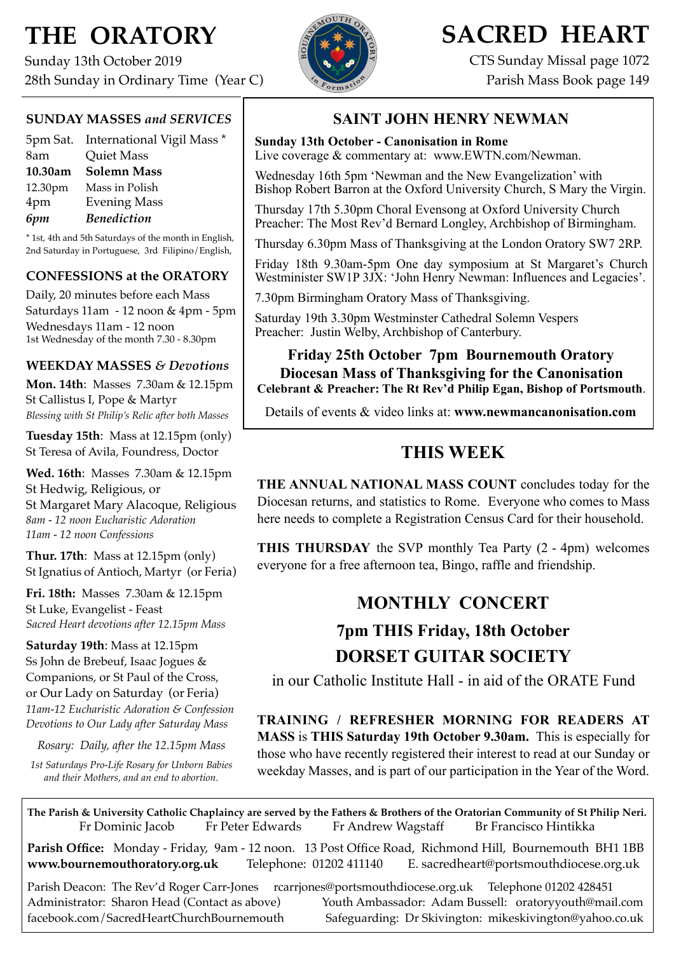# **THE ORATORY**

Sunday 13th October 2019 28th Sunday in Ordinary Time (Year C)



# **SACRED HEART**

CTS Sunday Missal page 1072 Parish Mass Book page 149

### **SUNDAY MASSES** *and SERVICES*

|         | 5pm Sat. International Vigil Mass * |
|---------|-------------------------------------|
| 8am     | <b>Quiet Mass</b>                   |
| 10.30am | <b>Solemn Mass</b>                  |
| 12.30pm | Mass in Polish                      |
| 4pm     | <b>Evening Mass</b>                 |
| 6pm     | <b>Benediction</b>                  |

\* 1st, 4th and 5th Saturdays of the month in English, 2nd Saturday in Portuguese, 3rd Filipino/English,

### **CONFESSIONS at the ORATORY**

Daily, 20 minutes before each Mass Saturdays 11am - 12 noon & 4pm - 5pm Wednesdays 11am - 12 noon 1st Wednesday of the month 7.30 - 8.30pm

### **WEEKDAY MASSES** *& Devotions*

**Mon. 14th**: Masses 7.30am & 12.15pm St Callistus I, Pope & Martyr *Blessing with St Philip's Relic after both Masses*

**Tuesday 15th**: Mass at 12.15pm (only) St Teresa of Avila, Foundress, Doctor

**Wed. 16th**: Masses7.30am & 12.15pm St Hedwig, Religious, or St Margaret Mary Alacoque, Religious *8am - 12 noon Eucharistic Adoration 11am - 12 noon Confessions*

**Thur. 17th**: Mass at 12.15pm (only) St Ignatius of Antioch, Martyr (or Feria)

**Fri. 18th:** Masses 7.30am & 12.15pm St Luke, Evangelist - Feast *Sacred Heart devotions after 12.15pm Mass*

**Saturday 19th**: Mass at 12.15pm Ss John de Brebeuf, Isaac Jogues & Companions, or St Paul of the Cross, or Our Lady on Saturday (or Feria) *11am-12 Eucharistic Adoration & Confession Devotions to Our Lady after Saturday Mass*

*Rosary: Daily, after the 12.15pm Mass*

*1st Saturdays Pro-Life Rosary for Unborn Babies and their Mothers, and an end to abortion.* 

### **SAINT JOHN HENRY NEWMAN**

### **Sunday 13th October - Canonisation in Rome**

Live coverage & commentary at: www.EWTN.com/Newman.

Wednesday 16th 5pm 'Newman and the New Evangelization' with Bishop Robert Barron at the Oxford University Church, S Mary the Virgin.

Thursday 17th 5.30pm Choral Evensong at Oxford University Church Preacher: The Most Rev'd Bernard Longley, Archbishop of Birmingham.

Thursday 6.30pm Mass of Thanksgiving at the London Oratory SW7 2RP.

Friday 18th 9.30am-5pm One day symposium at St Margaret's Church Westminister SW1P 3JX: 'John Henry Newman: Influences and Legacies'.

7.30pm Birmingham Oratory Mass of Thanksgiving.

Saturday 19th 3.30pm Westminster Cathedral Solemn Vespers Preacher: Justin Welby, Archbishop of Canterbury.

**Friday 25th October 7pm Bournemouth Oratory Diocesan Mass of Thanksgiving for the Canonisation Celebrant & Preacher: The Rt Rev'd Philip Egan, Bishop of Portsmouth**.

Details of events & video links at: **[www.newmancanonisation.com](http://www.newmancanonisation.com)** 

## **THIS WEEK**

**THE ANNUAL NATIONAL MASS COUNT** concludes today for the Diocesan returns, and statistics to Rome. Everyone who comes to Mass here needs to complete a Registration Census Card for their household.

**THIS THURSDAY** the SVP monthly Tea Party (2 - 4pm) welcomes everyone for a free afternoon tea, Bingo, raffle and friendship.

## **MONTHLY CONCERT**

## **7pm THIS Friday, 18th October DORSET GUITAR SOCIETY**

in our Catholic Institute Hall - in aid of the ORATE Fund

**TRAINING / REFRESHER MORNING FOR READERS AT MASS** is **THIS Saturday 19th October 9.30am.** This is especially for those who have recently registered their interest to read at our Sunday or weekday Masses, and is part of our participation in the Year of the Word.

**The Parish & University Catholic Chaplaincy are served by the Fathers & Brothers of the Oratorian Community of St Philip Neri.** Fr Dominic Jacob Fr Peter Edwards Fr Andrew Wagstaff Br Francisco Hintikka

**Parish Office:** Monday - Friday, 9am - 12 noon. 13 Post Office Road, Richmond Hill, Bournemouth BH1 1BB **[www.bournemouthoratory.org.uk](http://www.bournemoithoratory.org.uk)** Telephone: 01202 411140 E. [sacredheart@portsmouthdiocese.org.uk](mailto:sacredheart@portsmouthdiocese.org.uk)

Parish Deacon: The Rev'd Roger Carr-Jones [rcarrjones@portsmouthdiocese.org.uk](mailto:rcarrjones@portsmouthdiocese.org.uk) Telephone 01202 428451 Administrator: Sharon Head (Contact as above) Youth Ambassador: Adam Bussell: [oratoryyouth@mail.com](http://oratoryyouth.mail.com) [facebook.com/SacredHeartChurchBournemouth](http://facebook.com/SaccredHeartChurchBournemouth) Safeguarding: Dr Skivington: mikeskivington@yahoo.co.uk